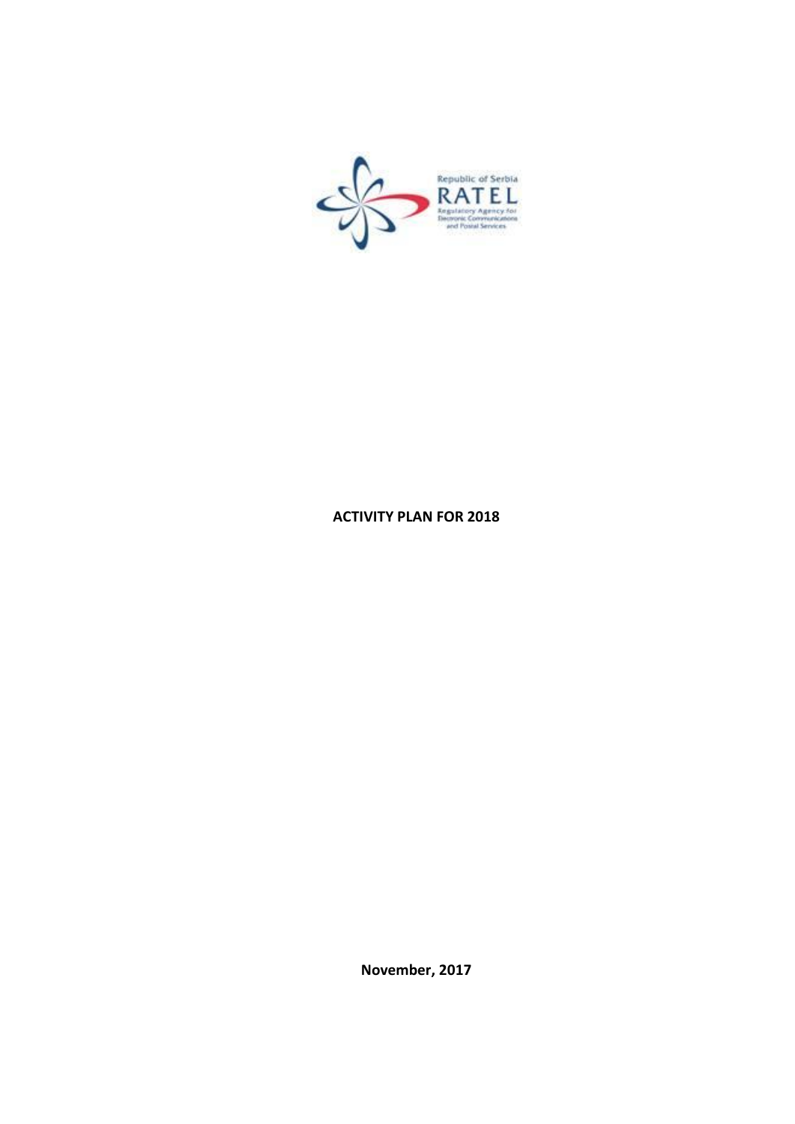

### ACTIVITY PLAN FOR 2018

November, 2017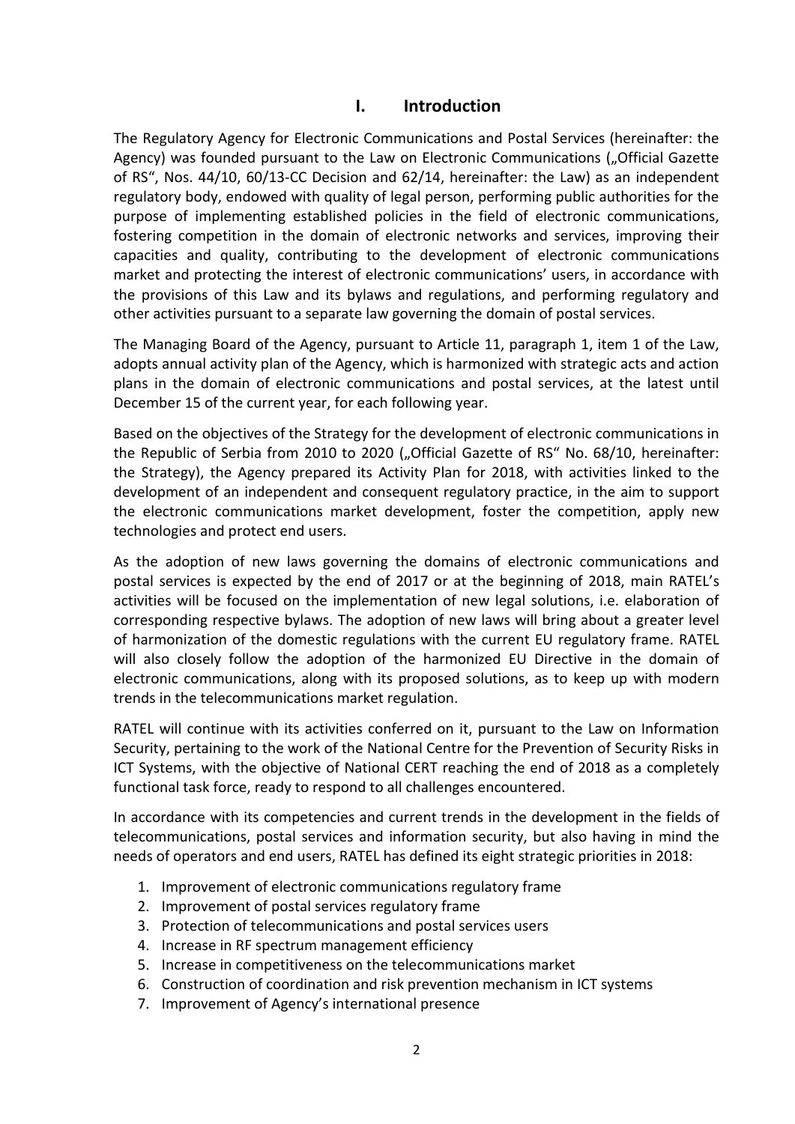## I. Introduction

The Regulatory Agency for Electronic Communications and Postal Services (hereinafter: the Agency) was founded pursuant to the Law on Electronic Communications ("Official Gazette of RS", Nos. 44/10, 60/13-CC Decision and 62/14, hereinafter: the Law) as an independent regulatory body, endowed with quality of legal person, performing public authorities for the purpose of implementing established policies in the field of electronic communications, fostering competition in the domain of electronic networks and services, improving their capacities and quality, contributing to the development of electronic communications market and protecting the interest of electronic communications' users, in accordance with the provisions of this Law and its bylaws and regulations, and performing regulatory and other activities pursuant to a separate law governing the domain of postal services.

The Managing Board of the Agency, pursuant to Article 11, paragraph 1, item 1 of the Law, adopts annual activity plan of the Agency, which is harmonized with strategic acts and action plans in the domain of electronic communications and postal services, at the latest until December 15 of the current year, for each following year.

Based on the objectives of the Strategy for the development of electronic communications in the Republic of Serbia from 2010 to 2020 ("Official Gazette of RS" No. 68/10, hereinafter: the Strategy), the Agency prepared its Activity Plan for 2018, with activities linked to the development of an independent and consequent regulatory practice, in the aim to support the electronic communications market development, foster the competition, apply new technologies and protect end users.

As the adoption of new laws governing the domains of electronic communications and postal services is expected by the end of 2017 or at the beginning of 2018, main RATEL's activities will be focused on the implementation of new legal solutions, i.e. elaboration of corresponding respective bylaws. The adoption of new laws will bring about a greater level of harmonization of the domestic regulations with the current EU regulatory frame. RATEL will also closely follow the adoption of the harmonized EU Directive in the domain of electronic communications, along with its proposed solutions, as to keep up with modern trends in the telecommunications market regulation.

RATEL will continue with its activities conferred on it, pursuant to the Law on Information Security, pertaining to the work of the National Centre for the Prevention of Security Risks in ICT Systems, with the objective of National CERT reaching the end of 2018 as a completely functional task force, ready to respond to all challenges encountered.

In accordance with its competencies and current trends in the development in the fields of telecommunications, postal services and information security, but also having in mind the needs of operators and end users, RATEL has defined its eight strategic priorities in 2018:

- 1. Improvement of electronic communications regulatory frame
- 2. Improvement of postal services regulatory frame
- 3. Protection of telecommunications and postal services users
- 4. Increase in RF spectrum management efficiency
- 5. Increase in competitiveness on the telecommunications market
- 6. Construction of coordination and risk prevention mechanism in ICT systems
- 7. Improvement of Agency's international presence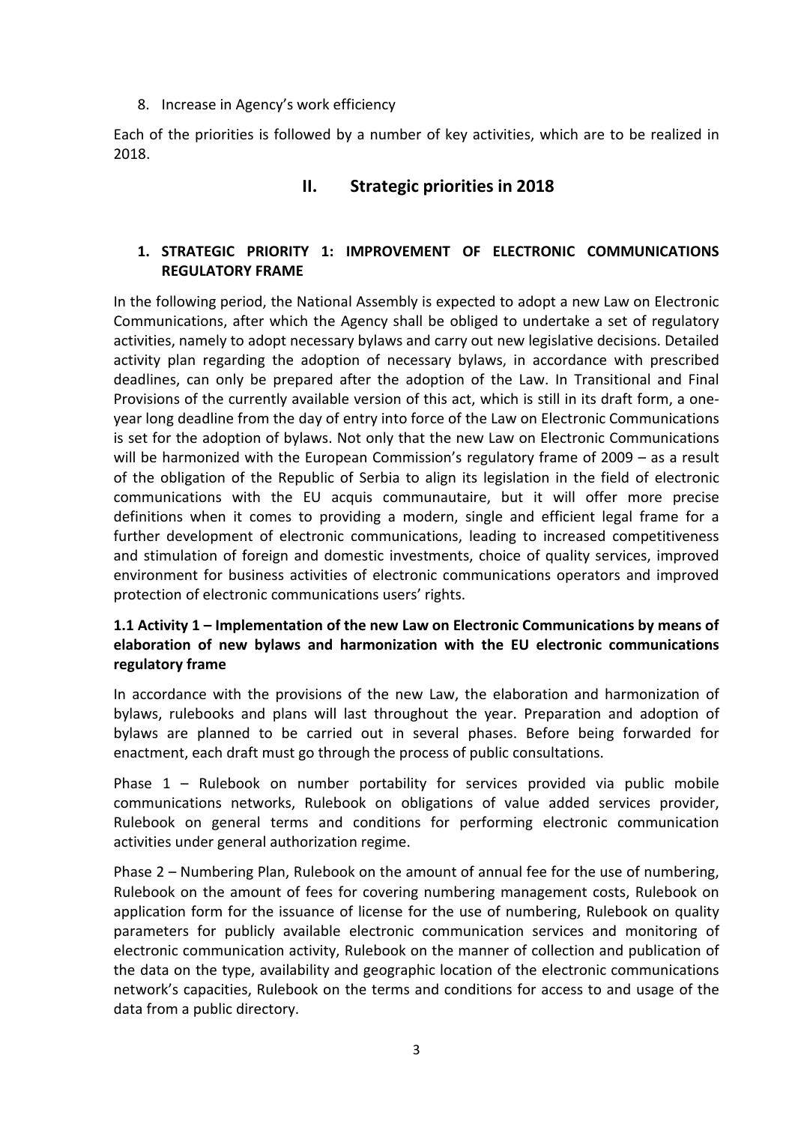#### 8. Increase in Agency's work efficiency

Each of the priorities is followed by a number of key activities, which are to be realized in 2018.

# II. Strategic priorities in 2018

## 1. STRATEGIC PRIORITY 1: IMPROVEMENT OF ELECTRONIC COMMUNICATIONS REGULATORY FRAME

In the following period, the National Assembly is expected to adopt a new Law on Electronic Communications, after which the Agency shall be obliged to undertake a set of regulatory activities, namely to adopt necessary bylaws and carry out new legislative decisions. Detailed activity plan regarding the adoption of necessary bylaws, in accordance with prescribed deadlines, can only be prepared after the adoption of the Law. In Transitional and Final Provisions of the currently available version of this act, which is still in its draft form, a oneyear long deadline from the day of entry into force of the Law on Electronic Communications is set for the adoption of bylaws. Not only that the new Law on Electronic Communications will be harmonized with the European Commission's regulatory frame of 2009 – as a result of the obligation of the Republic of Serbia to align its legislation in the field of electronic communications with the EU acquis communautaire, but it will offer more precise definitions when it comes to providing a modern, single and efficient legal frame for a further development of electronic communications, leading to increased competitiveness and stimulation of foreign and domestic investments, choice of quality services, improved environment for business activities of electronic communications operators and improved protection of electronic communications users' rights.

## 1.1 Activity 1 – Implementation of the new Law on Electronic Communications by means of elaboration of new bylaws and harmonization with the EU electronic communications regulatory frame

In accordance with the provisions of the new Law, the elaboration and harmonization of bylaws, rulebooks and plans will last throughout the year. Preparation and adoption of bylaws are planned to be carried out in several phases. Before being forwarded for enactment, each draft must go through the process of public consultations.

Phase 1 – Rulebook on number portability for services provided via public mobile communications networks, Rulebook on obligations of value added services provider, Rulebook on general terms and conditions for performing electronic communication activities under general authorization regime.

Phase 2 – Numbering Plan, Rulebook on the amount of annual fee for the use of numbering, Rulebook on the amount of fees for covering numbering management costs, Rulebook on application form for the issuance of license for the use of numbering, Rulebook on quality parameters for publicly available electronic communication services and monitoring of electronic communication activity, Rulebook on the manner of collection and publication of the data on the type, availability and geographic location of the electronic communications network's capacities, Rulebook on the terms and conditions for access to and usage of the data from a public directory.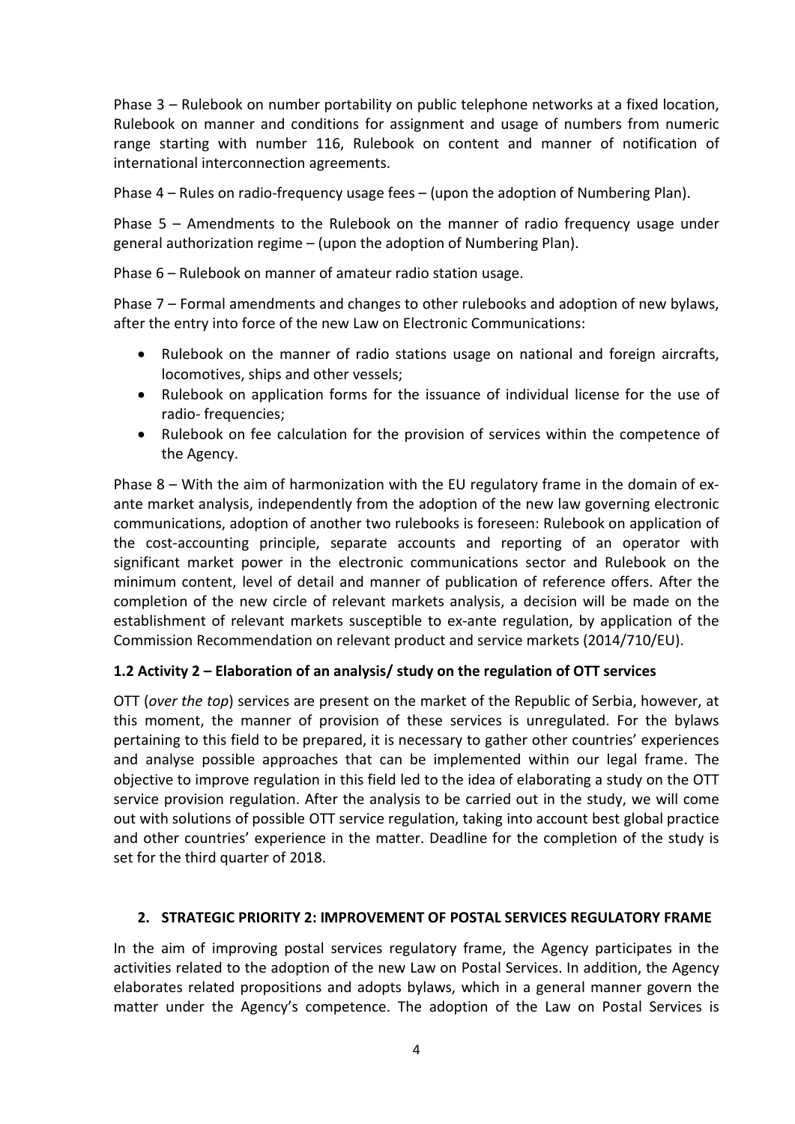Phase 3 – Rulebook on number portability on public telephone networks at a fixed location, Rulebook on manner and conditions for assignment and usage of numbers from numeric range starting with number 116, Rulebook on content and manner of notification of international interconnection agreements.

Phase 4 – Rules on radio-frequency usage fees – (upon the adoption of Numbering Plan).

Phase 5 – Amendments to the Rulebook on the manner of radio frequency usage under general authorization regime – (upon the adoption of Numbering Plan).

Phase 6 – Rulebook on manner of amateur radio station usage.

Phase 7 – Formal amendments and changes to other rulebooks and adoption of new bylaws, after the entry into force of the new Law on Electronic Communications:

- Rulebook on the manner of radio stations usage on national and foreign aircrafts, locomotives, ships and other vessels;
- Rulebook on application forms for the issuance of individual license for the use of radio- frequencies;
- Rulebook on fee calculation for the provision of services within the competence of the Agency.

Phase 8 – With the aim of harmonization with the EU regulatory frame in the domain of exante market analysis, independently from the adoption of the new law governing electronic communications, adoption of another two rulebooks is foreseen: Rulebook on application of the cost-accounting principle, separate accounts and reporting of an operator with significant market power in the electronic communications sector and Rulebook on the minimum content, level of detail and manner of publication of reference offers. After the completion of the new circle of relevant markets analysis, a decision will be made on the establishment of relevant markets susceptible to ex-ante regulation, by application of the Commission Recommendation on relevant product and service markets (2014/710/EU).

### 1.2 Activity 2 – Elaboration of an analysis/ study on the regulation of OTT services

OTT (*over the top*) services are present on the market of the Republic of Serbia, however, at this moment, the manner of provision of these services is unregulated. For the bylaws pertaining to this field to be prepared, it is necessary to gather other countries' experiences and analyse possible approaches that can be implemented within our legal frame. The objective to improve regulation in this field led to the idea of elaborating a study on the OTT service provision regulation. After the analysis to be carried out in the study, we will come out with solutions of possible OTT service regulation, taking into account best global practice and other countries' experience in the matter. Deadline for the completion of the study is set for the third quarter of 2018.

#### 2. STRATEGIC PRIORITY 2: IMPROVEMENT OF POSTAL SERVICES REGULATORY FRAME

In the aim of improving postal services regulatory frame, the Agency participates in the activities related to the adoption of the new Law on Postal Services. In addition, the Agency elaborates related propositions and adopts bylaws, which in a general manner govern the matter under the Agency's competence. The adoption of the Law on Postal Services is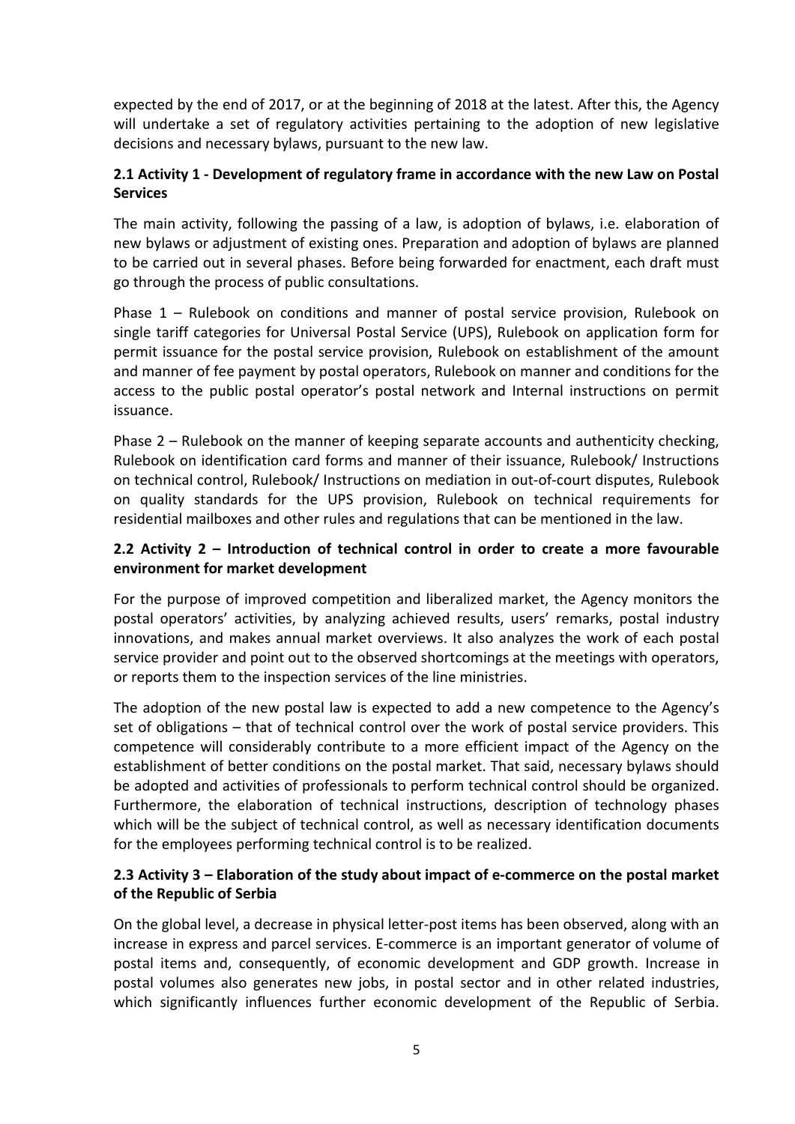expected by the end of 2017, or at the beginning of 2018 at the latest. After this, the Agency will undertake a set of regulatory activities pertaining to the adoption of new legislative decisions and necessary bylaws, pursuant to the new law.

### 2.1 Activity 1 - Development of regulatory frame in accordance with the new Law on Postal **Services**

The main activity, following the passing of a law, is adoption of bylaws, i.e. elaboration of new bylaws or adjustment of existing ones. Preparation and adoption of bylaws are planned to be carried out in several phases. Before being forwarded for enactment, each draft must go through the process of public consultations.

Phase 1 – Rulebook on conditions and manner of postal service provision, Rulebook on single tariff categories for Universal Postal Service (UPS), Rulebook on application form for permit issuance for the postal service provision, Rulebook on establishment of the amount and manner of fee payment by postal operators, Rulebook on manner and conditions for the access to the public postal operator's postal network and Internal instructions on permit issuance.

Phase 2 – Rulebook on the manner of keeping separate accounts and authenticity checking, Rulebook on identification card forms and manner of their issuance, Rulebook/ Instructions on technical control, Rulebook/ Instructions on mediation in out-of-court disputes, Rulebook on quality standards for the UPS provision, Rulebook on technical requirements for residential mailboxes and other rules and regulations that can be mentioned in the law.

## 2.2 Activity 2 – Introduction of technical control in order to create a more favourable environment for market development

For the purpose of improved competition and liberalized market, the Agency monitors the postal operators' activities, by analyzing achieved results, users' remarks, postal industry innovations, and makes annual market overviews. It also analyzes the work of each postal service provider and point out to the observed shortcomings at the meetings with operators, or reports them to the inspection services of the line ministries.

The adoption of the new postal law is expected to add a new competence to the Agency's set of obligations – that of technical control over the work of postal service providers. This competence will considerably contribute to a more efficient impact of the Agency on the establishment of better conditions on the postal market. That said, necessary bylaws should be adopted and activities of professionals to perform technical control should be organized. Furthermore, the elaboration of technical instructions, description of technology phases which will be the subject of technical control, as well as necessary identification documents for the employees performing technical control is to be realized.

### 2.3 Activity 3 – Elaboration of the study about impact of e-commerce on the postal market of the Republic of Serbia

On the global level, a decrease in physical letter-post items has been observed, along with an increase in express and parcel services. E-commerce is an important generator of volume of postal items and, consequently, of economic development and GDP growth. Increase in postal volumes also generates new jobs, in postal sector and in other related industries, which significantly influences further economic development of the Republic of Serbia.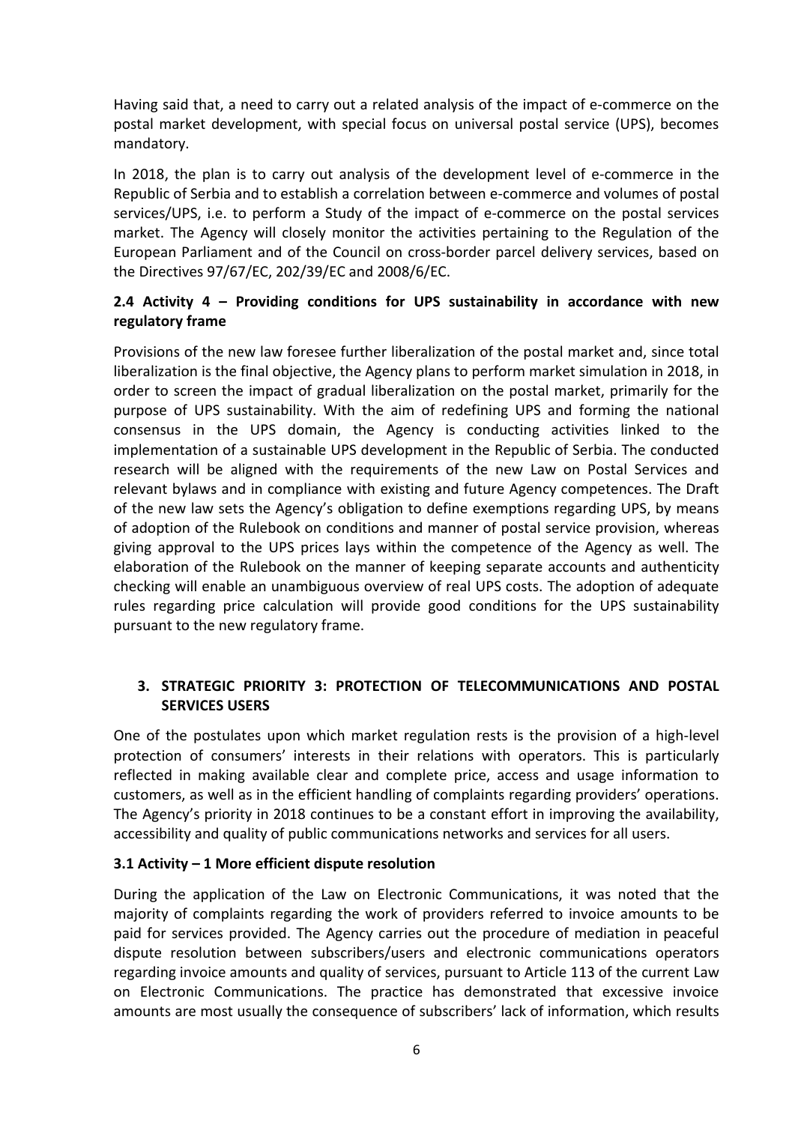Having said that, a need to carry out a related analysis of the impact of e-commerce on the postal market development, with special focus on universal postal service (UPS), becomes mandatory.

In 2018, the plan is to carry out analysis of the development level of e-commerce in the Republic of Serbia and to establish a correlation between e-commerce and volumes of postal services/UPS, i.e. to perform a Study of the impact of e-commerce on the postal services market. The Agency will closely monitor the activities pertaining to the Regulation of the European Parliament and of the Council on cross-border parcel delivery services, based on the Directives 97/67/EC, 202/39/EC and 2008/6/EC.

## 2.4 Activity 4 – Providing conditions for UPS sustainability in accordance with new regulatory frame

Provisions of the new law foresee further liberalization of the postal market and, since total liberalization is the final objective, the Agency plans to perform market simulation in 2018, in order to screen the impact of gradual liberalization on the postal market, primarily for the purpose of UPS sustainability. With the aim of redefining UPS and forming the national consensus in the UPS domain, the Agency is conducting activities linked to the implementation of a sustainable UPS development in the Republic of Serbia. The conducted research will be aligned with the requirements of the new Law on Postal Services and relevant bylaws and in compliance with existing and future Agency competences. The Draft of the new law sets the Agency's obligation to define exemptions regarding UPS, by means of adoption of the Rulebook on conditions and manner of postal service provision, whereas giving approval to the UPS prices lays within the competence of the Agency as well. The elaboration of the Rulebook on the manner of keeping separate accounts and authenticity checking will enable an unambiguous overview of real UPS costs. The adoption of adequate rules regarding price calculation will provide good conditions for the UPS sustainability pursuant to the new regulatory frame.

### 3. STRATEGIC PRIORITY 3: PROTECTION OF TELECOMMUNICATIONS AND POSTAL SERVICES USERS

One of the postulates upon which market regulation rests is the provision of a high-level protection of consumers' interests in their relations with operators. This is particularly reflected in making available clear and complete price, access and usage information to customers, as well as in the efficient handling of complaints regarding providers' operations. The Agency's priority in 2018 continues to be a constant effort in improving the availability, accessibility and quality of public communications networks and services for all users.

### 3.1 Activity – 1 More efficient dispute resolution

During the application of the Law on Electronic Communications, it was noted that the majority of complaints regarding the work of providers referred to invoice amounts to be paid for services provided. The Agency carries out the procedure of mediation in peaceful dispute resolution between subscribers/users and electronic communications operators regarding invoice amounts and quality of services, pursuant to Article 113 of the current Law on Electronic Communications. The practice has demonstrated that excessive invoice amounts are most usually the consequence of subscribers' lack of information, which results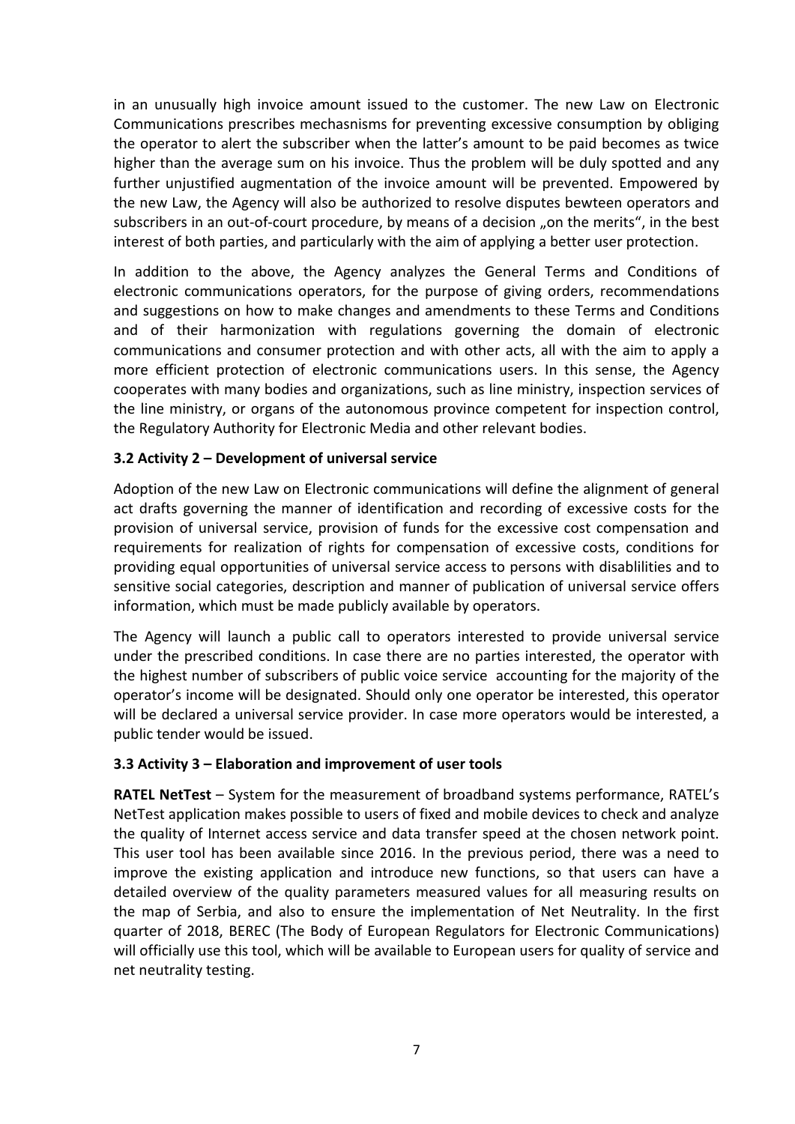in an unusually high invoice amount issued to the customer. The new Law on Electronic Communications prescribes mechasnisms for preventing excessive consumption by obliging the operator to alert the subscriber when the latter's amount to be paid becomes as twice higher than the average sum on his invoice. Thus the problem will be duly spotted and any further unjustified augmentation of the invoice amount will be prevented. Empowered by the new Law, the Agency will also be authorized to resolve disputes bewteen operators and subscribers in an out-of-court procedure, by means of a decision "on the merits", in the best interest of both parties, and particularly with the aim of applying a better user protection.

In addition to the above, the Agency analyzes the General Terms and Conditions of electronic communications operators, for the purpose of giving orders, recommendations and suggestions on how to make changes and amendments to these Terms and Conditions and of their harmonization with regulations governing the domain of electronic communications and consumer protection and with other acts, all with the aim to apply a more efficient protection of electronic communications users. In this sense, the Agency cooperates with many bodies and organizations, such as line ministry, inspection services of the line ministry, or organs of the autonomous province competent for inspection control, the Regulatory Authority for Electronic Media and other relevant bodies.

#### 3.2 Activity 2 – Development of universal service

Adoption of the new Law on Electronic communications will define the alignment of general act drafts governing the manner of identification and recording of excessive costs for the provision of universal service, provision of funds for the excessive cost compensation and requirements for realization of rights for compensation of excessive costs, conditions for providing equal opportunities of universal service access to persons with disablilities and to sensitive social categories, description and manner of publication of universal service offers information, which must be made publicly available by operators.

The Agency will launch a public call to operators interested to provide universal service under the prescribed conditions. In case there are no parties interested, the operator with the highest number of subscribers of public voice service accounting for the majority of the operator's income will be designated. Should only one operator be interested, this operator will be declared a universal service provider. In case more operators would be interested, a public tender would be issued.

#### 3.3 Activity 3 – Elaboration and improvement of user tools

RATEL NetTest - System for the measurement of broadband systems performance, RATEL's NetTest application makes possible to users of fixed and mobile devices to check and analyze the quality of Internet access service and data transfer speed at the chosen network point. This user tool has been available since 2016. In the previous period, there was a need to improve the existing application and introduce new functions, so that users can have a detailed overview of the quality parameters measured values for all measuring results on the map of Serbia, and also to ensure the implementation of Net Neutrality. In the first quarter of 2018, BEREC (The Body of European Regulators for Electronic Communications) will officially use this tool, which will be available to European users for quality of service and net neutrality testing.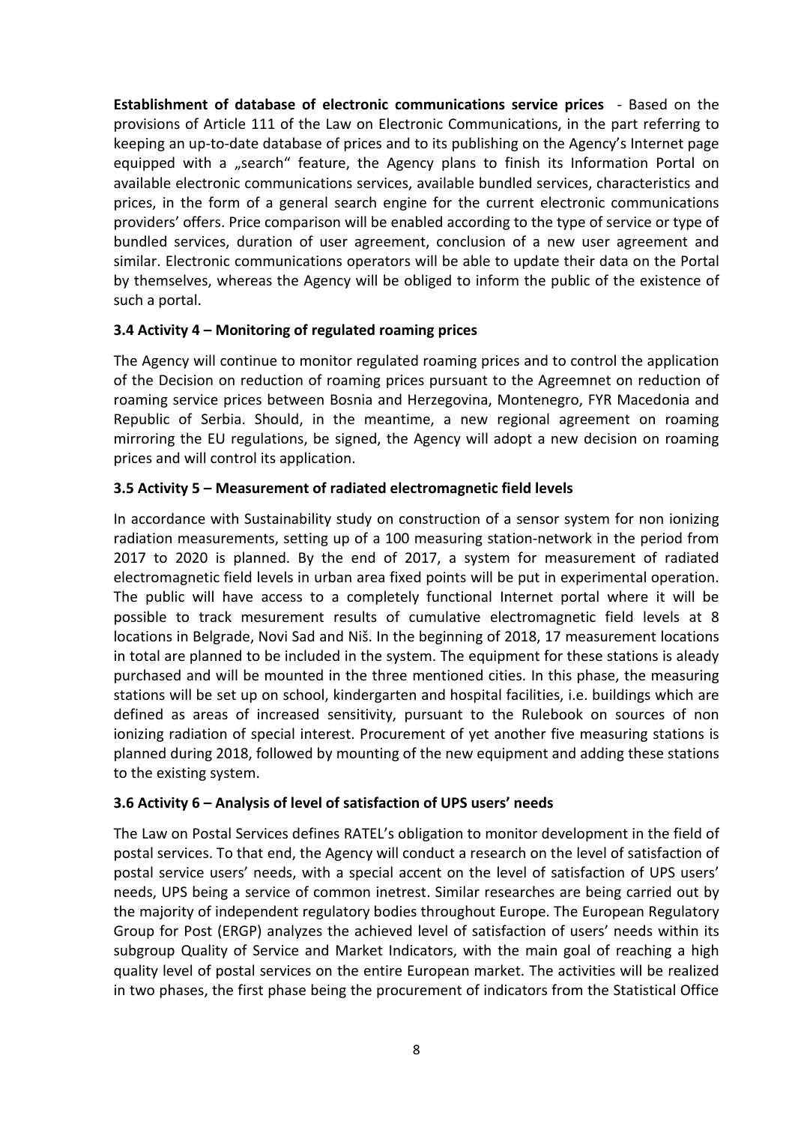Establishment of database of electronic communications service prices - Based on the provisions of Article 111 of the Law on Electronic Communications, in the part referring to keeping an up-to-date database of prices and to its publishing on the Agency's Internet page equipped with a "search" feature, the Agency plans to finish its Information Portal on available electronic communications services, available bundled services, characteristics and prices, in the form of a general search engine for the current electronic communications providers' offers. Price comparison will be enabled according to the type of service or type of bundled services, duration of user agreement, conclusion of a new user agreement and similar. Electronic communications operators will be able to update their data on the Portal by themselves, whereas the Agency will be obliged to inform the public of the existence of such a portal.

### 3.4 Activity 4 – Monitoring of regulated roaming prices

The Agency will continue to monitor regulated roaming prices and to control the application of the Decision on reduction of roaming prices pursuant to the Agreemnet on reduction of roaming service prices between Bosnia and Herzegovina, Montenegro, FYR Macedonia and Republic of Serbia. Should, in the meantime, a new regional agreement on roaming mirroring the EU regulations, be signed, the Agency will adopt a new decision on roaming prices and will control its application.

#### 3.5 Activity 5 – Measurement of radiated electromagnetic field levels

In accordance with Sustainability study on construction of a sensor system for non ionizing radiation measurements, setting up of a 100 measuring station-network in the period from 2017 to 2020 is planned. By the end of 2017, a system for measurement of radiated electromagnetic field levels in urban area fixed points will be put in experimental operation. The public will have access to a completely functional Internet portal where it will be possible to track mesurement results of cumulative electromagnetic field levels at 8 locations in Belgrade, Novi Sad and Niš. In the beginning of 2018, 17 measurement locations in total are planned to be included in the system. The equipment for these stations is aleady purchased and will be mounted in the three mentioned cities. In this phase, the measuring stations will be set up on school, kindergarten and hospital facilities, i.e. buildings which are defined as areas of increased sensitivity, pursuant to the Rulebook on sources of non ionizing radiation of special interest. Procurement of yet another five measuring stations is planned during 2018, followed by mounting of the new equipment and adding these stations to the existing system.

### 3.6 Activity 6 – Analysis of level of satisfaction of UPS users' needs

The Law on Postal Services defines RATEL's obligation to monitor development in the field of postal services. To that end, the Agency will conduct a research on the level of satisfaction of postal service users' needs, with a special accent on the level of satisfaction of UPS users' needs, UPS being a service of common inetrest. Similar researches are being carried out by the majority of independent regulatory bodies throughout Europe. The European Regulatory Group for Post (ERGP) analyzes the achieved level of satisfaction of users' needs within its subgroup Quality of Service and Market Indicators, with the main goal of reaching a high quality level of postal services on the entire European market. The activities will be realized in two phases, the first phase being the procurement of indicators from the Statistical Office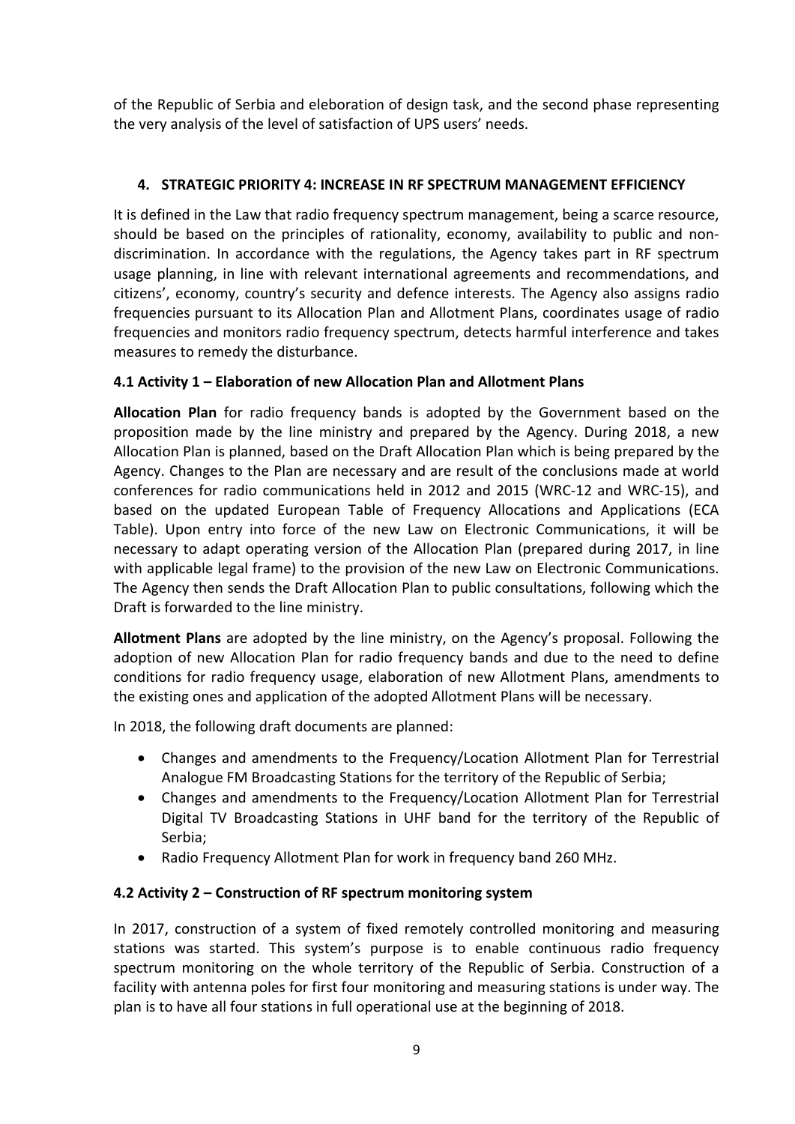of the Republic of Serbia and eleboration of design task, and the second phase representing the very analysis of the level of satisfaction of UPS users' needs.

# 4. STRATEGIC PRIORITY 4: INCREASE IN RF SPECTRUM MANAGEMENT EFFICIENCY

It is defined in the Law that radio frequency spectrum management, being a scarce resource, should be based on the principles of rationality, economy, availability to public and nondiscrimination. In accordance with the regulations, the Agency takes part in RF spectrum usage planning, in line with relevant international agreements and recommendations, and citizens', economy, country's security and defence interests. The Agency also assigns radio frequencies pursuant to its Allocation Plan and Allotment Plans, coordinates usage of radio frequencies and monitors radio frequency spectrum, detects harmful interference and takes measures to remedy the disturbance.

## 4.1 Activity 1 – Elaboration of new Allocation Plan and Allotment Plans

Allocation Plan for radio frequency bands is adopted by the Government based on the proposition made by the line ministry and prepared by the Agency. During 2018, a new Allocation Plan is planned, based on the Draft Allocation Plan which is being prepared by the Agency. Changes to the Plan are necessary and are result of the conclusions made at world conferences for radio communications held in 2012 and 2015 (WRC-12 and WRC-15), and based on the updated European Table of Frequency Allocations and Applications (ECA Table). Upon entry into force of the new Law on Electronic Communications, it will be necessary to adapt operating version of the Allocation Plan (prepared during 2017, in line with applicable legal frame) to the provision of the new Law on Electronic Communications. The Agency then sends the Draft Allocation Plan to public consultations, following which the Draft is forwarded to the line ministry.

Allotment Plans are adopted by the line ministry, on the Agency's proposal. Following the adoption of new Allocation Plan for radio frequency bands and due to the need to define conditions for radio frequency usage, elaboration of new Allotment Plans, amendments to the existing ones and application of the adopted Allotment Plans will be necessary.

In 2018, the following draft documents are planned:

- Changes and amendments to the Frequency/Location Allotment Plan for Terrestrial Analogue FM Broadcasting Stations for the territory of the Republic of Serbia;
- Changes and amendments to the Frequency/Location Allotment Plan for Terrestrial Digital TV Broadcasting Stations in UHF band for the territory of the Republic of Serbia;
- Radio Frequency Allotment Plan for work in frequency band 260 MHz.

### 4.2 Activity 2 – Construction of RF spectrum monitoring system

In 2017, construction of a system of fixed remotely controlled monitoring and measuring stations was started. This system's purpose is to enable continuous radio frequency spectrum monitoring on the whole territory of the Republic of Serbia. Construction of a facility with antenna poles for first four monitoring and measuring stations is under way. The plan is to have all four stations in full operational use at the beginning of 2018.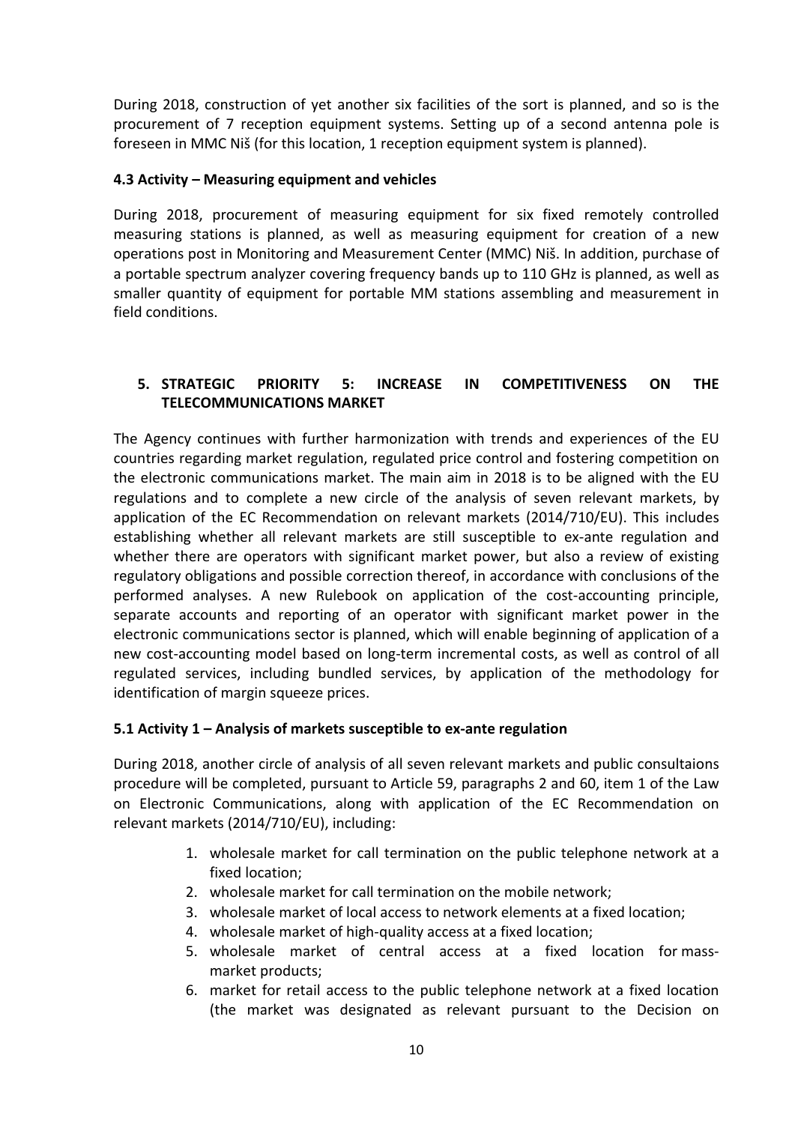During 2018, construction of yet another six facilities of the sort is planned, and so is the procurement of 7 reception equipment systems. Setting up of a second antenna pole is foreseen in MMC Niš (for this location, 1 reception equipment system is planned).

#### 4.3 Activity – Measuring equipment and vehicles

During 2018, procurement of measuring equipment for six fixed remotely controlled measuring stations is planned, as well as measuring equipment for creation of a new operations post in Monitoring and Measurement Center (MMC) Niš. In addition, purchase of a portable spectrum analyzer covering frequency bands up to 110 GHz is planned, as well as smaller quantity of equipment for portable MM stations assembling and measurement in field conditions.

## 5. STRATEGIC PRIORITY 5: INCREASE IN COMPETITIVENESS ON THE TELECOMMUNICATIONS MARKET

The Agency continues with further harmonization with trends and experiences of the EU countries regarding market regulation, regulated price control and fostering competition on the electronic communications market. The main aim in 2018 is to be aligned with the EU regulations and to complete a new circle of the analysis of seven relevant markets, by application of the EC Recommendation on relevant markets (2014/710/EU). This includes establishing whether all relevant markets are still susceptible to ex-ante regulation and whether there are operators with significant market power, but also a review of existing regulatory obligations and possible correction thereof, in accordance with conclusions of the performed analyses. A new Rulebook on application of the cost-accounting principle, separate accounts and reporting of an operator with significant market power in the electronic communications sector is planned, which will enable beginning of application of a new cost-accounting model based on long-term incremental costs, as well as control of all regulated services, including bundled services, by application of the methodology for identification of margin squeeze prices.

### 5.1 Activity 1 – Analysis of markets susceptible to ex-ante regulation

During 2018, another circle of analysis of all seven relevant markets and public consultaions procedure will be completed, pursuant to Article 59, paragraphs 2 and 60, item 1 of the Law on Electronic Communications, along with application of the EC Recommendation on relevant markets (2014/710/EU), including:

- 1. wholesale market for call termination on the public telephone network at a fixed location;
- 2. wholesale market for call termination on the mobile network;
- 3. wholesale market of local access to network elements at a fixed location;
- 4. wholesale market of high-quality access at a fixed location;
- 5. wholesale market of central access at a fixed location for massmarket products;
- 6. market for retail access to the public telephone network at a fixed location (the market was designated as relevant pursuant to the Decision on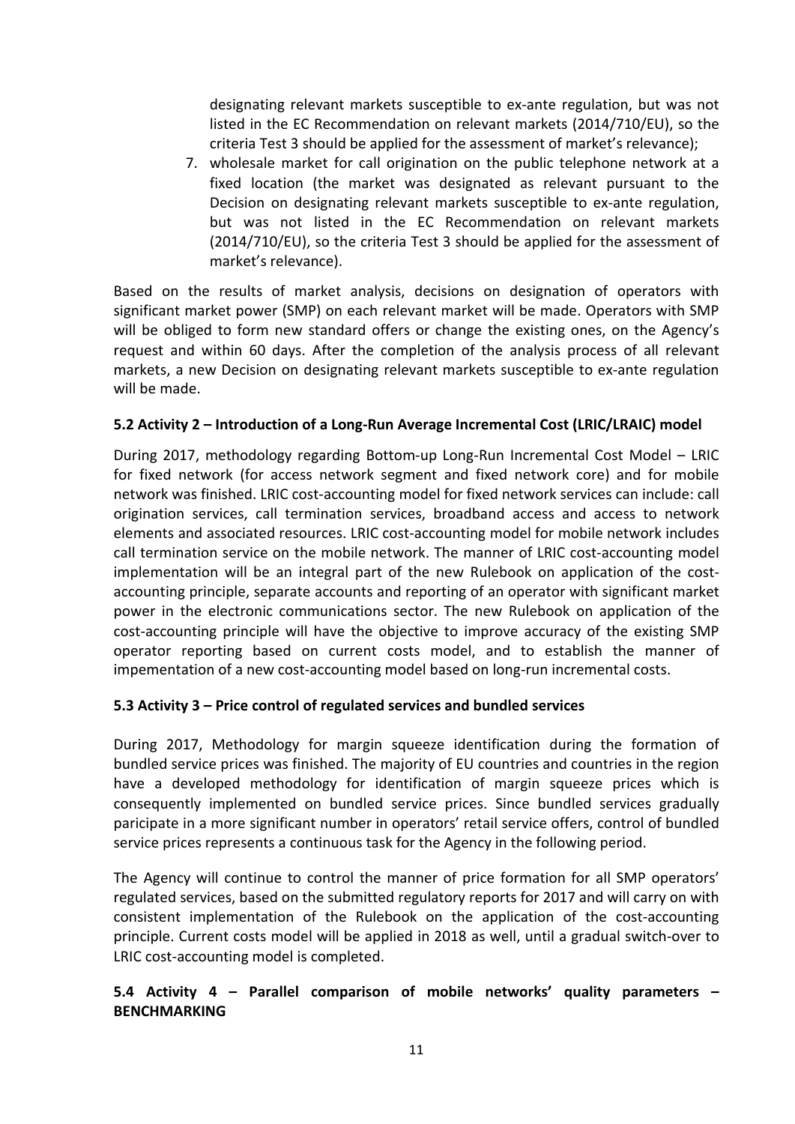designating relevant markets susceptible to ex-ante regulation, but was not listed in the EC Recommendation on relevant markets (2014/710/EU), so the criteria Test 3 should be applied for the assessment of market's relevance);

7. wholesale market for call origination on the public telephone network at a fixed location (the market was designated as relevant pursuant to the Decision on designating relevant markets susceptible to ex-ante regulation, but was not listed in the EC Recommendation on relevant markets (2014/710/EU), so the criteria Test 3 should be applied for the assessment of market's relevance).

Based on the results of market analysis, decisions on designation of operators with significant market power (SMP) on each relevant market will be made. Operators with SMP will be obliged to form new standard offers or change the existing ones, on the Agency's request and within 60 days. After the completion of the analysis process of all relevant markets, a new Decision on designating relevant markets susceptible to ex-ante regulation will be made.

### 5.2 Activity 2 – Introduction of a Long-Run Average Incremental Cost (LRIC/LRAIC) model

During 2017, methodology regarding Bottom-up Long-Run Incremental Cost Model – LRIC for fixed network (for access network segment and fixed network core) and for mobile network was finished. LRIC cost-accounting model for fixed network services can include: call origination services, call termination services, broadband access and access to network elements and associated resources. LRIC cost-accounting model for mobile network includes call termination service on the mobile network. The manner of LRIC cost-accounting model implementation will be an integral part of the new Rulebook on application of the costaccounting principle, separate accounts and reporting of an operator with significant market power in the electronic communications sector. The new Rulebook on application of the cost-accounting principle will have the objective to improve accuracy of the existing SMP operator reporting based on current costs model, and to establish the manner of impementation of a new cost-accounting model based on long-run incremental costs.

#### 5.3 Activity 3 – Price control of regulated services and bundled services

During 2017, Methodology for margin squeeze identification during the formation of bundled service prices was finished. The majority of EU countries and countries in the region have a developed methodology for identification of margin squeeze prices which is consequently implemented on bundled service prices. Since bundled services gradually paricipate in a more significant number in operators' retail service offers, control of bundled service prices represents a continuous task for the Agency in the following period.

The Agency will continue to control the manner of price formation for all SMP operators' regulated services, based on the submitted regulatory reports for 2017 and will carry on with consistent implementation of the Rulebook on the application of the cost-accounting principle. Current costs model will be applied in 2018 as well, until a gradual switch-over to LRIC cost-accounting model is completed.

## 5.4 Activity 4 – Parallel comparison of mobile networks' quality parameters – BENCHMARKING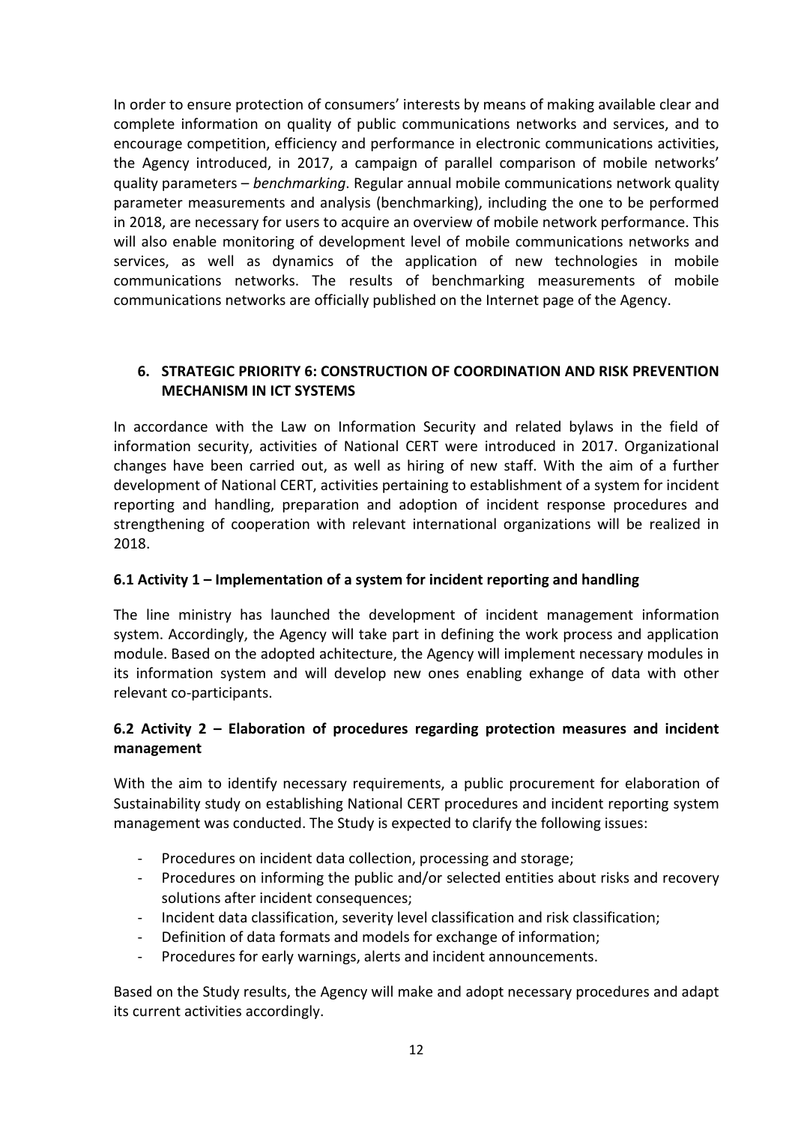In order to ensure protection of consumers' interests by means of making available clear and complete information on quality of public communications networks and services, and to encourage competition, efficiency and performance in electronic communications activities, the Agency introduced, in 2017, a campaign of parallel comparison of mobile networks' quality parameters – *benchmarking*. Regular annual mobile communications network quality parameter measurements and analysis (benchmarking), including the one to be performed in 2018, are necessary for users to acquire an overview of mobile network performance. This will also enable monitoring of development level of mobile communications networks and services, as well as dynamics of the application of new technologies in mobile communications networks. The results of benchmarking measurements of mobile communications networks are officially published on the Internet page of the Agency.

## 6. STRATEGIC PRIORITY 6: CONSTRUCTION OF COORDINATION AND RISK PREVENTION MECHANISM IN ICT SYSTEMS

In accordance with the Law on Information Security and related bylaws in the field of information security, activities of National CERT were introduced in 2017. Organizational changes have been carried out, as well as hiring of new staff. With the aim of a further development of National CERT, activities pertaining to establishment of a system for incident reporting and handling, preparation and adoption of incident response procedures and strengthening of cooperation with relevant international organizations will be realized in 2018.

# 6.1 Activity 1 – Implementation of a system for incident reporting and handling

The line ministry has launched the development of incident management information system. Accordingly, the Agency will take part in defining the work process and application module. Based on the adopted achitecture, the Agency will implement necessary modules in its information system and will develop new ones enabling exhange of data with other relevant co-participants.

## 6.2 Activity 2 – Elaboration of procedures regarding protection measures and incident management

With the aim to identify necessary requirements, a public procurement for elaboration of Sustainability study on establishing National CERT procedures and incident reporting system management was conducted. The Study is expected to clarify the following issues:

- Procedures on incident data collection, processing and storage;
- Procedures on informing the public and/or selected entities about risks and recovery solutions after incident consequences;
- Incident data classification, severity level classification and risk classification;
- Definition of data formats and models for exchange of information;
- Procedures for early warnings, alerts and incident announcements.

Based on the Study results, the Agency will make and adopt necessary procedures and adapt its current activities accordingly.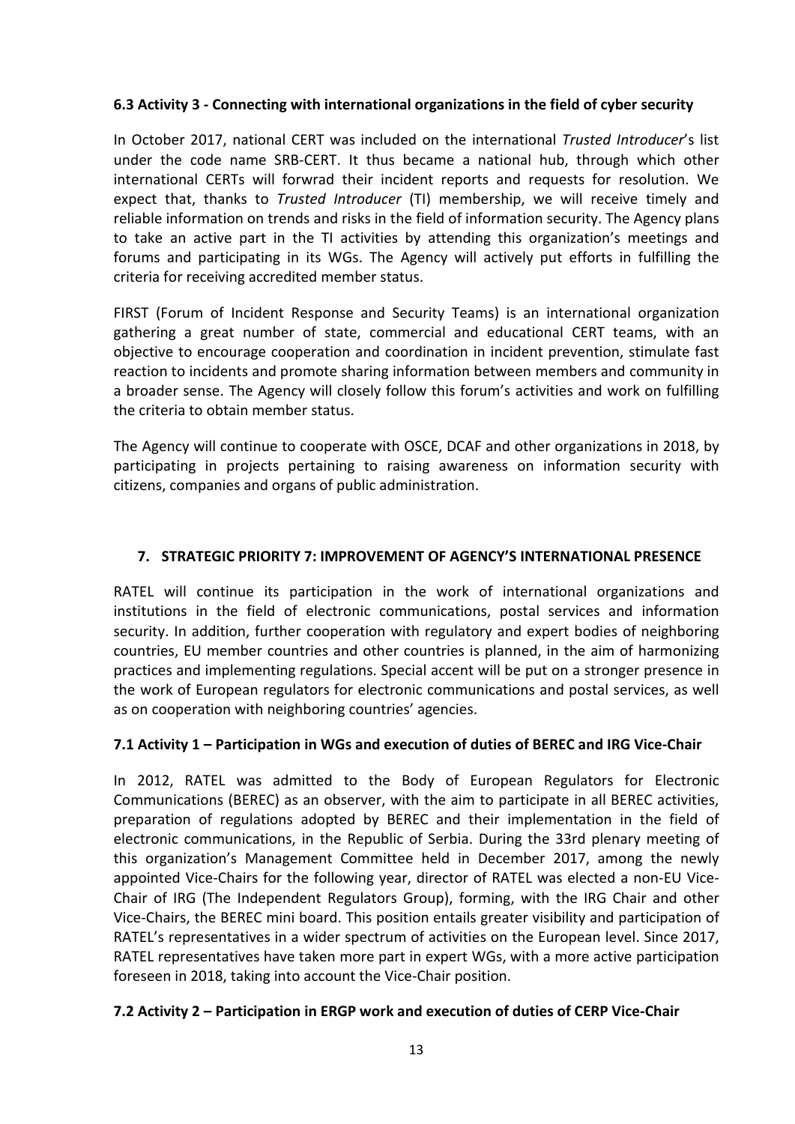#### 6.3 Activity 3 - Connecting with international organizations in the field of cyber security

In October 2017, national CERT was included on the international *Trusted Introducer*'s list under the code name SRB-CERT. It thus became a national hub, through which other international CERTs will forwrad their incident reports and requests for resolution. We expect that, thanks to *Trusted Introducer* (TI) membership, we will receive timely and reliable information on trends and risks in the field of information security. The Agency plans to take an active part in the TI activities by attending this organization's meetings and forums and participating in its WGs. The Agency will actively put efforts in fulfilling the criteria for receiving accredited member status.

FIRST (Forum of Incident Response and Security Teams) is an international organization gathering a great number of state, commercial and educational CERT teams, with an objective to encourage cooperation and coordination in incident prevention, stimulate fast reaction to incidents and promote sharing information between members and community in a broader sense. The Agency will closely follow this forum's activities and work on fulfilling the criteria to obtain member status.

The Agency will continue to cooperate with OSCE, DCAF and other organizations in 2018, by participating in projects pertaining to raising awareness on information security with citizens, companies and organs of public administration.

### 7. STRATEGIC PRIORITY 7: IMPROVEMENT OF AGENCY'S INTERNATIONAL PRESENCE

RATEL will continue its participation in the work of international organizations and institutions in the field of electronic communications, postal services and information security. In addition, further cooperation with regulatory and expert bodies of neighboring countries, EU member countries and other countries is planned, in the aim of harmonizing practices and implementing regulations. Special accent will be put on a stronger presence in the work of European regulators for electronic communications and postal services, as well as on cooperation with neighboring countries' agencies.

#### 7.1 Activity 1 – Participation in WGs and execution of duties of BEREC and IRG Vice-Chair

In 2012, RATEL was admitted to the Body of European Regulators for Electronic Communications (BEREC) as an observer, with the aim to participate in all BEREC activities, preparation of regulations adopted by BEREC and their implementation in the field of electronic communications, in the Republic of Serbia. During the 33rd plenary meeting of this organization's Management Committee held in December 2017, among the newly appointed Vice-Chairs for the following year, director of RATEL was elected a non-EU Vice-Chair of IRG (The Independent Regulators Group), forming, with the IRG Chair and other Vice-Chairs, the BEREC mini board. This position entails greater visibility and participation of RATEL's representatives in a wider spectrum of activities on the European level. Since 2017, RATEL representatives have taken more part in expert WGs, with a more active participation foreseen in 2018, taking into account the Vice-Chair position.

### 7.2 Activity 2 – Participation in ERGP work and execution of duties of CERP Vice-Chair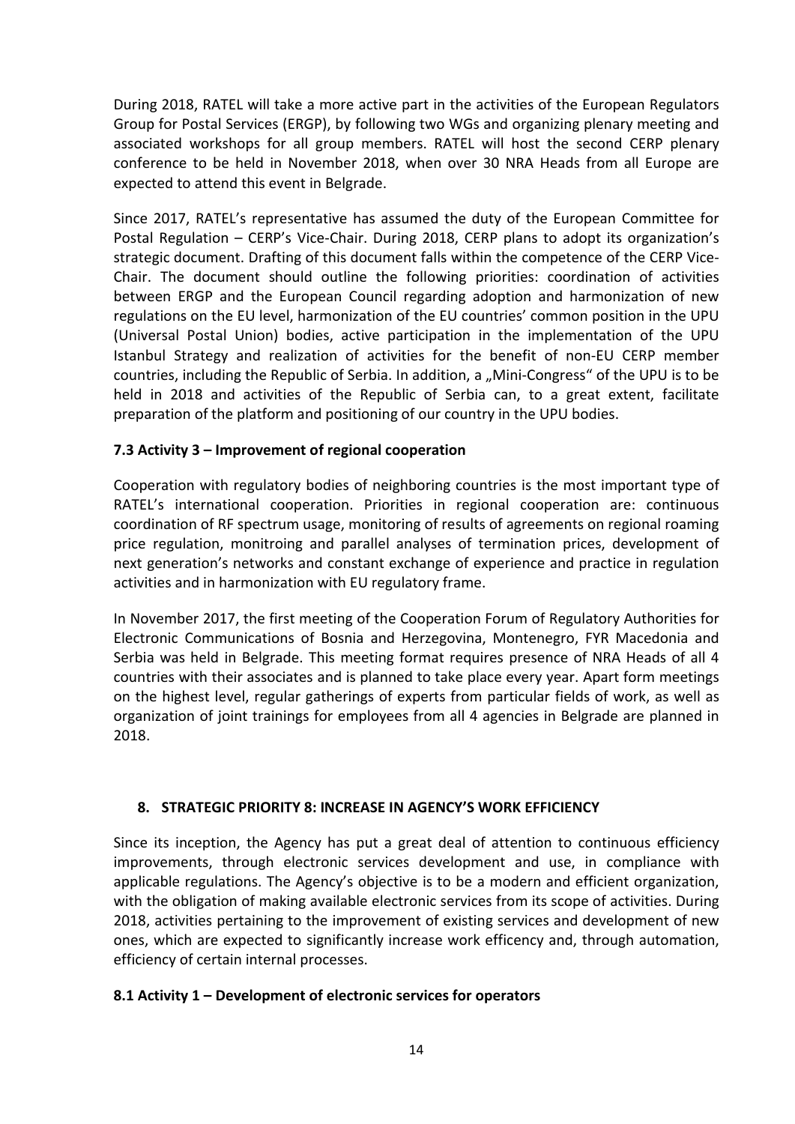During 2018, RATEL will take a more active part in the activities of the European Regulators Group for Postal Services (ERGP), by following two WGs and organizing plenary meeting and associated workshops for all group members. RATEL will host the second CERP plenary conference to be held in November 2018, when over 30 NRA Heads from all Europe are expected to attend this event in Belgrade.

Since 2017, RATEL's representative has assumed the duty of the European Committee for Postal Regulation – CERP's Vice-Chair. During 2018, CERP plans to adopt its organization's strategic document. Drafting of this document falls within the competence of the CERP Vice-Chair. The document should outline the following priorities: coordination of activities between ERGP and the European Council regarding adoption and harmonization of new regulations on the EU level, harmonization of the EU countries' common position in the UPU (Universal Postal Union) bodies, active participation in the implementation of the UPU Istanbul Strategy and realization of activities for the benefit of non-EU CERP member countries, including the Republic of Serbia. In addition, a "Mini-Congress" of the UPU is to be held in 2018 and activities of the Republic of Serbia can, to a great extent, facilitate preparation of the platform and positioning of our country in the UPU bodies.

### 7.3 Activity 3 – Improvement of regional cooperation

Cooperation with regulatory bodies of neighboring countries is the most important type of RATEL's international cooperation. Priorities in regional cooperation are: continuous coordination of RF spectrum usage, monitoring of results of agreements on regional roaming price regulation, monitroing and parallel analyses of termination prices, development of next generation's networks and constant exchange of experience and practice in regulation activities and in harmonization with EU regulatory frame.

In November 2017, the first meeting of the Cooperation Forum of Regulatory Authorities for Electronic Communications of Bosnia and Herzegovina, Montenegro, FYR Macedonia and Serbia was held in Belgrade. This meeting format requires presence of NRA Heads of all 4 countries with their associates and is planned to take place every year. Apart form meetings on the highest level, regular gatherings of experts from particular fields of work, as well as organization of joint trainings for employees from all 4 agencies in Belgrade are planned in 2018.

#### 8. STRATEGIC PRIORITY 8: INCREASE IN AGENCY'S WORK EFFICIENCY

Since its inception, the Agency has put a great deal of attention to continuous efficiency improvements, through electronic services development and use, in compliance with applicable regulations. The Agency's objective is to be a modern and efficient organization, with the obligation of making available electronic services from its scope of activities. During 2018, activities pertaining to the improvement of existing services and development of new ones, which are expected to significantly increase work efficency and, through automation, efficiency of certain internal processes.

#### 8.1 Activity 1 – Development of electronic services for operators